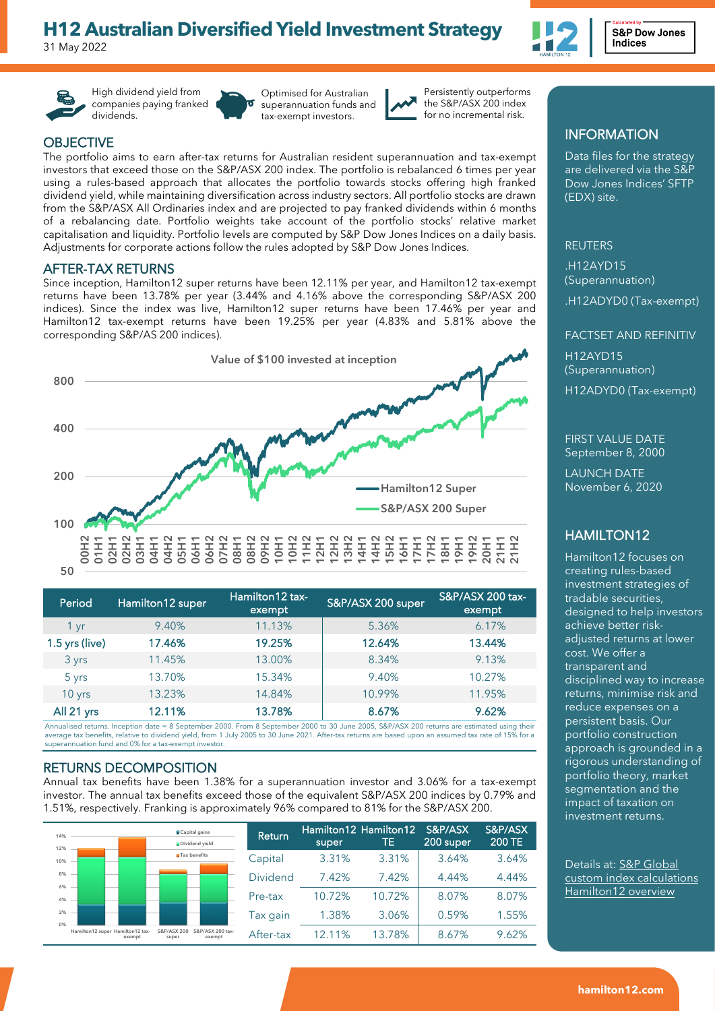# **H12 Australian Diversified Yield Investment Strategy**

31 May 2022



High dividend yield from companies paying franked dividends.

Optimised for Australian superannuation funds and tax-exempt investors.



Persistently outperforms the S&P/ASX 200 index for no incremental risk.

# **OBJECTIVE**

The portfolio aims to earn after-tax returns for Australian resident superannuation and tax-exempt investors that exceed those on the S&P/ASX 200 index. The portfolio is rebalanced 6 times per year using a rules-based approach that allocates the portfolio towards stocks offering high franked dividend yield, while maintaining diversification across industry sectors. All portfolio stocks are drawn from the S&P/ASX All Ordinaries index and are projected to pay franked dividends within 6 months of a rebalancing date. Portfolio weights take account of the portfolio stocks' relative market capitalisation and liquidity. Portfolio levels are computed by S&P Dow Jones Indices on a daily basis. Adjustments for corporate actions follow the rules adopted by S&P Dow Jones Indices.

### AFTER-TAX RETURNS

Since inception, Hamilton12 super returns have been 12.11% per year, and Hamilton12 tax-exempt returns have been 13.78% per year (3.44% and 4.16% above the corresponding S&P/ASX 200 indices). Since the index was live, Hamilton12 super returns have been 17.46% per year and Hamilton12 tax-exempt returns have been 19.25% per year (4.83% and 5.81% above the corresponding S&P/AS 200 indices).



| Period         | Hamilton12 super | Hamilton 12 tax-<br>exempt | S&P/ASX 200 super | S&P/ASX 200 tax-<br>exempt |
|----------------|------------------|----------------------------|-------------------|----------------------------|
| 1 yr           | 9.40%            | 11.13%                     | 5.36%             | 6.17%                      |
| 1.5 yrs (live) | 17.46%           | 19.25%                     | 12.64%            | 13.44%                     |
| 3 yrs          | 11.45%           | 13.00%                     | 8.34%             | 9.13%                      |
| 5 yrs          | 13.70%           | 15.34%                     | 9.40%             | 10.27%                     |
| 10 yrs         | 13.23%           | 14.84%                     | 10.99%            | 11.95%                     |
| All 21 yrs     | 12.11%           | 13.78%                     | 8.67%             | 9.62%                      |

Annualised returns. Inception date = 8 September 2000. From 8 September 2000 to 30 June 2005, S&P/ASX 200 returns are estimated using their average tax benefits, relative to dividend yield, from 1 July 2005 to 30 June 2021. After-tax returns are based upon an assumed tax rate of 15% for a superannuation fund and 0% for a tax-exempt investor.

#### RETURNS DECOMPOSITION

Annual tax benefits have been 1.38% for a superannuation investor and 3.06% for a tax-exempt investor. The annual tax benefits exceed those of the equivalent S&P/ASX 200 indices by 0.79% and 1.51%, respectively. Franking is approximately 96% compared to 81% for the S&P/ASX 200.

| 14%        |                                            | ■Capital gains<br>Dividend yield                   | Return          | super  | Hamilton12 Hamilton12<br>TE | S&P/ASX<br><b>200 super</b> | S&P/ASX<br><b>200 TE</b> |
|------------|--------------------------------------------|----------------------------------------------------|-----------------|--------|-----------------------------|-----------------------------|--------------------------|
| 12%<br>10% |                                            | <b>M</b> Tax benefits                              | Capital         | 3.31%  | 3.31%                       | 3.64%                       | 3.64%                    |
| 8%<br>6%   |                                            |                                                    | <b>Dividend</b> | 7.42%  | 7.42%                       | 4.44%                       | 4.44%                    |
| 4%         |                                            |                                                    | Pre-tax         | 10.72% | 10.72%                      | 8.07%                       | 8.07%                    |
| 2%<br>0%   |                                            |                                                    | Tax qain        | 1.38%  | 3.06%                       | 0.59%                       | 1.55%                    |
|            | Hamilton12 super Hamilton12 tax-<br>exempt | S&P/ASX 200<br>S&P/ASX 200 tax-<br>exempt<br>super | After-tax       | 12.11% | 13.78%                      | 8.67%                       | 9.62%                    |

# INFORMATION

Data files for the strategy are delivered via the S&P Dow Jones Indices' SFTP (EDX) site.

#### REUTERS

.H12AYD15 (Superannuation)

.H12ADYD0 (Tax-exempt)

# FACTSET AND REFINITIV H12AYD15 (Superannuation) H12ADYD0 (Tax-exempt)

FIRST VALUE DATE September 8, 2000

LAUNCH DATE November 6, 2020

# HAMILTON12

Hamilton12 focuses on creating rules-based investment strategies of tradable securities, designed to help investors achieve better riskadjusted returns at lower cost. We offer a transparent and disciplined way to increase returns, minimise risk and reduce expenses on a persistent basis. Our portfolio construction approach is grounded in a rigorous understanding of portfolio theory, market segmentation and the impact of taxation on investment returns.

Details at: S&P Global custom index calculations Hamilton12 overview